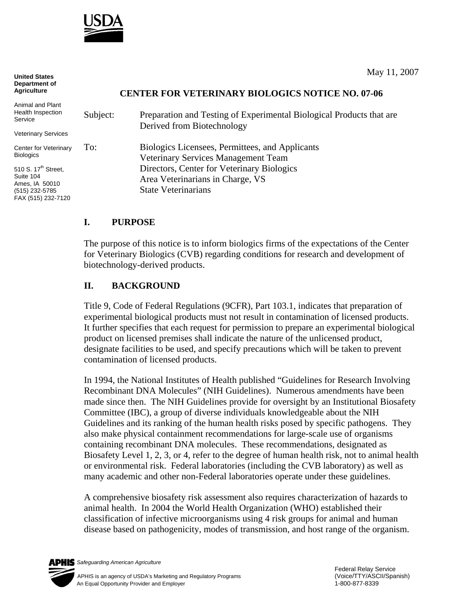

May 11, 2007

**United States Department of Agriculture**

## **CENTER FOR VETERINARY BIOLOGICS NOTICE NO. 07-06**

| Animal and Plant<br>Health Inspection<br>Service                                                       | Subject: | Preparation and Testing of Experimental Biological Products that are<br>Derived from Biotechnology                                                                                                     |
|--------------------------------------------------------------------------------------------------------|----------|--------------------------------------------------------------------------------------------------------------------------------------------------------------------------------------------------------|
| Veterinary Services                                                                                    |          |                                                                                                                                                                                                        |
| Center for Veterinary<br>Biologics                                                                     | To:      | Biologics Licensees, Permittees, and Applicants<br>Veterinary Services Management Team<br>Directors, Center for Veterinary Biologics<br>Area Veterinarians in Charge, VS<br><b>State Veterinarians</b> |
| 510 S. 17 <sup>th</sup> Street,<br>Suite 104<br>Ames, IA 50010<br>(515) 232-5785<br>FAX (515) 232-7120 |          |                                                                                                                                                                                                        |
|                                                                                                        |          |                                                                                                                                                                                                        |

## **I. PURPOSE**

The purpose of this notice is to inform biologics firms of the expectations of the Center for Veterinary Biologics (CVB) regarding conditions for research and development of biotechnology-derived products.

## **II. BACKGROUND**

Title 9, Code of Federal Regulations (9CFR), Part 103.1, indicates that preparation of experimental biological products must not result in contamination of licensed products. It further specifies that each request for permission to prepare an experimental biological product on licensed premises shall indicate the nature of the unlicensed product, designate facilities to be used, and specify precautions which will be taken to prevent contamination of licensed products.

In 1994, the National Institutes of Health published "Guidelines for Research Involving Recombinant DNA Molecules" (NIH Guidelines). Numerous amendments have been made since then. The NIH Guidelines provide for oversight by an Institutional Biosafety Committee (IBC), a group of diverse individuals knowledgeable about the NIH Guidelines and its ranking of the human health risks posed by specific pathogens. They also make physical containment recommendations for large-scale use of organisms containing recombinant DNA molecules. These recommendations, designated as Biosafety Level 1, 2, 3, or 4, refer to the degree of human health risk, not to animal health or environmental risk. Federal laboratories (including the CVB laboratory) as well as many academic and other non-Federal laboratories operate under these guidelines.

A comprehensive biosafety risk assessment also requires characterization of hazards to animal health. In 2004 the World Health Organization (WHO) established their classification of infective microorganisms using 4 risk groups for animal and human disease based on pathogenicity, modes of transmission, and host range of the organism.